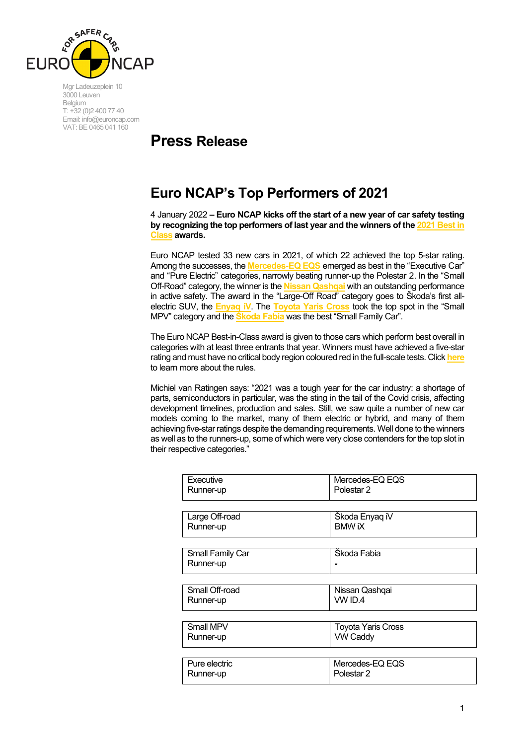

Mgr Ladeuzeplein 10 3000 Leuven Belgium T: +32 (0)2 400 77 40 Email: info@euroncap.com VAT: BE 0465 041 160

## **Press Release**

## **Euro NCAP's Top Performers of 2021**

4 January 2022 **– Euro NCAP kicks off the start of a new year of car safety testing by recognizing the top performers of last year and the winners of th[e 2021 Best in](https://www.euroncap.com/en/ratings-rewards/best-in-class-cars/2021/)  [Class](https://www.euroncap.com/en/ratings-rewards/best-in-class-cars/2021/) awards.**

Euro NCAP tested 33 new cars in 2021, of which 22 achieved the top 5-star rating. Among the successes, the **[Mercedes-EQ EQS](https://www.euroncap.com/en/results/mercedes-benz/eqs/44203)** emerged as best in the "Executive Car" and "Pure Electric" categories, narrowly beating runner-up the Polestar 2. In the "Small Off-Road" category, the winner is the **[Nissan Qashqai](https://www.euroncap.com/en/results/nissan/qashqai/44204)** with an outstanding performance in active safety. The award in the "Large-Off Road" category goes to Škoda's first allelectric SUV, the **[Enyaq iV](https://www.euroncap.com/en/results/skoda/enyaq-iv/42455)**. The **[Toyota Yaris Cross](https://www.euroncap.com/en/results/toyota/yaris-cross/43819)** took the top spot in the "Small MPV" category and the **[Škoda Fabia](https://www.euroncap.com/en/results/skoda/fabia/44207)** was the best "Small Family Car".

The Euro NCAP Best-in-Class award is given to those cars which perform best overall in categories with at least three entrants that year. Winners must have achieved a five-star rating and must have no critical body region coloured red in the full-scale tests. Click **[here](https://euroncap.blob.core.windows.net/media/67617/rules-for-determining-euro-ncap-best-in-class-dec-2021.pdf)** to learn more about the rules.

Michiel van Ratingen says: "2021 was a tough year for the car industry: a shortage of parts, semiconductors in particular, was the sting in the tail of the Covid crisis, affecting development timelines, production and sales. Still, we saw quite a number of new car models coming to the market, many of them electric or hybrid, and many of them achieving five-star ratings despite the demanding requirements. Well done to the winners as well as to the runners-up, some of which were very close contenders for the top slot in their respective categories."